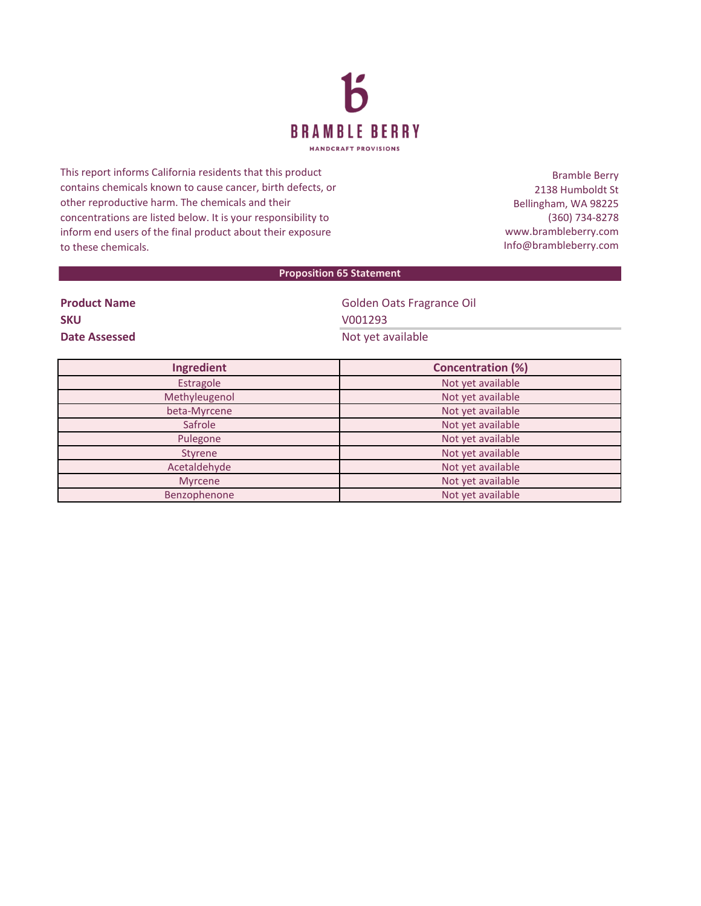

This report informs California residents that this product contains chemicals known to cause cancer, birth defects, or other reproductive harm. The chemicals and their concentrations are listed below. It is your responsibility to inform end users of the final product about their exposure to these chemicals.

Bramble Berry 2138 Humboldt St Bellingham, WA 98225 (360) 734-8278 www.brambleberry.com Info@brambleberry.com

## **Proposition 65 Statement**

| <b>Product Name</b>  |  |
|----------------------|--|
| <b>SKU</b>           |  |
| <b>Date Assessed</b> |  |

**Golden Oats Fragrance Oil SKU** V001293 **Not yet available** 

| Ingredient    | <b>Concentration (%)</b> |  |
|---------------|--------------------------|--|
| Estragole     | Not yet available        |  |
| Methyleugenol | Not yet available        |  |
| beta-Myrcene  | Not yet available        |  |
| Safrole       | Not yet available        |  |
| Pulegone      | Not yet available        |  |
| Styrene       | Not yet available        |  |
| Acetaldehyde  | Not yet available        |  |
| Myrcene       | Not yet available        |  |
| Benzophenone  | Not yet available        |  |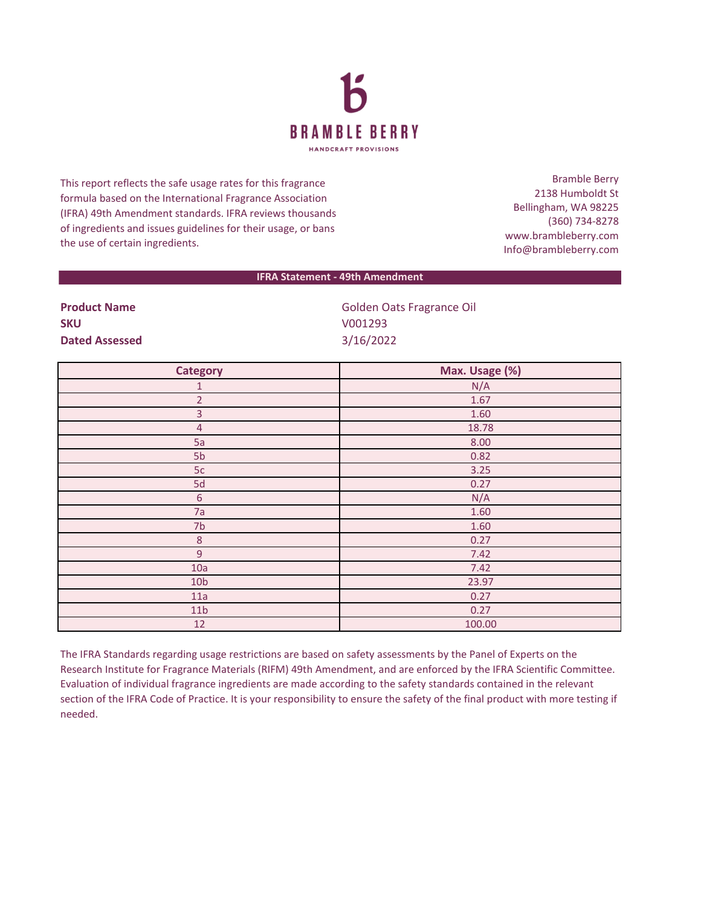

This report reflects the safe usage rates for this fragrance formula based on the International Fragrance Association (IFRA) 49th Amendment standards. IFRA reviews thousands of ingredients and issues guidelines for their usage, or bans the use of certain ingredients.

Bramble Berry 2138 Humboldt St Bellingham, WA 98225 (360) 734-8278 www.brambleberry.com Info@brambleberry.com

## **IFRA Statement - 49th Amendment**

| <b>Product Name</b>   | Golden Oats Fragrance Oil |
|-----------------------|---------------------------|
| <b>SKU</b>            | V001293                   |
| <b>Dated Assessed</b> | 3/16/2022                 |

| <b>Category</b> | Max. Usage (%) |
|-----------------|----------------|
| 1               | N/A            |
| $\overline{2}$  | 1.67           |
| 3               | 1.60           |
| $\overline{4}$  | 18.78          |
| 5a              | 8.00           |
| 5b              | 0.82           |
| 5c              | 3.25           |
| 5d              | 0.27           |
| $\sqrt{6}$      | N/A            |
| 7a              | 1.60           |
| 7 <sub>b</sub>  | 1.60           |
| $\,8\,$         | 0.27           |
| $\overline{9}$  | 7.42           |
| 10a             | 7.42           |
| 10 <sub>b</sub> | 23.97          |
| 11a             | 0.27           |
| 11 <sub>b</sub> | 0.27           |
| 12              | 100.00         |

The IFRA Standards regarding usage restrictions are based on safety assessments by the Panel of Experts on the Research Institute for Fragrance Materials (RIFM) 49th Amendment, and are enforced by the IFRA Scientific Committee. Evaluation of individual fragrance ingredients are made according to the safety standards contained in the relevant section of the IFRA Code of Practice. It is your responsibility to ensure the safety of the final product with more testing if needed.